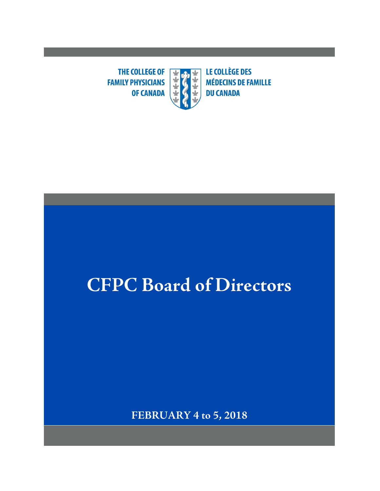防災 **THE COLLEGE OF**  $\left| \begin{array}{c} \ast \ast \end{array} \right|$ **FAMILY PHYSICIANS OF CANADA** 

**LE COLLÈGE DES MÉDECINS DE FAMILLE DU CANADA** 

# **CFPC Board of Directors**

**FEBRUARY 4 to 5, 2018**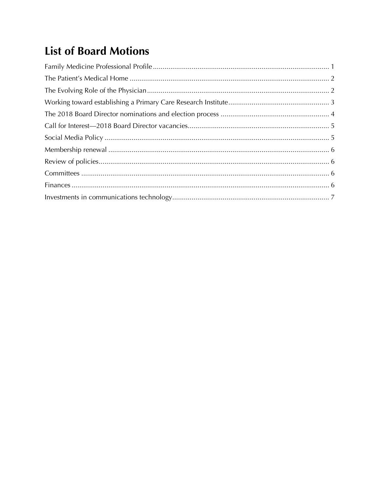## **List of Board Motions**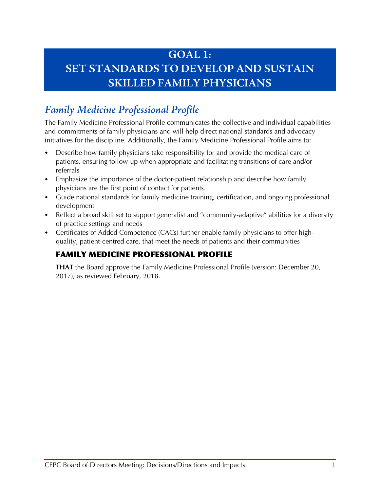## **GOAL 1: SET STANDARDS TO DEVELOP AND SUSTAIN SKILLED FAMILY PHYSICIANS**

## <span id="page-2-0"></span>*Family Medicine Professional Profile*

The Family Medicine Professional Profile communicates the collective and individual capabilities and commitments of family physicians and will help direct national standards and advocacy initiatives for the discipline. Additionally, the Family Medicine Professional Profile aims to:

- Describe how family physicians take responsibility for and provide the medical care of patients, ensuring follow-up when appropriate and facilitating transitions of care and/or referrals
- Emphasize the importance of the doctor-patient relationship and describe how family physicians are the first point of contact for patients.
- Guide national standards for family medicine training, certification, and ongoing professional development
- Reflect a broad skill set to support generalist and "community-adaptive" abilities for a diversity of practice settings and needs
- Certificates of Added Competence (CACs) further enable family physicians to offer highquality, patient-centred care, that meet the needs of patients and their communities

#### FAMILY MEDICINE PROFESSIONAL PROFILE

**THAT** the Board approve the Family Medicine Professional Profile (version: December 20, 2017), as reviewed February, 2018.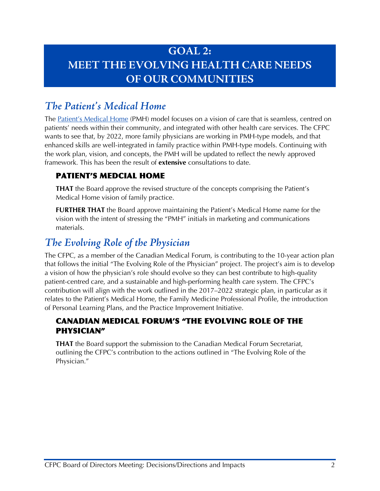## **GOAL 2: MEET THE EVOLVING HEALTH CARE NEEDS OF OUR COMMUNITIES**

## <span id="page-3-0"></span>*The Patient's Medical Home*

The [Patient's Medical Home](http://patientsmedicalhome.ca/) (PMH) model focuses on a vision of care that is seamless, centred on patients' needs within their community, and integrated with other health care services. The CFPC wants to see that, by 2022, more family physicians are working in PMH-type models, and that enhanced skills are well-integrated in family practice within PMH-type models. Continuing with the work plan, vision, and concepts, the PMH will be updated to reflect the newly approved framework. This has been the result of **extensive** consultations to date.

#### PATIENT'S MEDCIAL HOME

**THAT** the Board approve the revised structure of the concepts comprising the Patient's Medical Home vision of family practice.

**FURTHER THAT** the Board approve maintaining the Patient's Medical Home name for the vision with the intent of stressing the "PMH" initials in marketing and communications materials.

## <span id="page-3-1"></span>*The Evolving Role of the Physician*

The CFPC, as a member of the Canadian Medical Forum, is contributing to the 10-year action plan that follows the initial "The Evolving Role of the Physician" project. The project's aim is to develop a vision of how the physician's role should evolve so they can best contribute to high-quality patient-centred care, and a sustainable and high-performing health care system. The CFPC's contribution will align with the work outlined in the 2017–2022 strategic plan, in particular as it relates to the Patient's Medical Home, the Family Medicine Professional Profile, the introduction of Personal Learning Plans, and the Practice Improvement Initiative.

#### CANADIAN MEDICAL FORUM'S "THE EVOLVING ROLE OF THE PHYSICIAN"

**THAT** the Board support the submission to the Canadian Medical Forum Secretariat, outlining the CFPC's contribution to the actions outlined in "The Evolving Role of the Physician."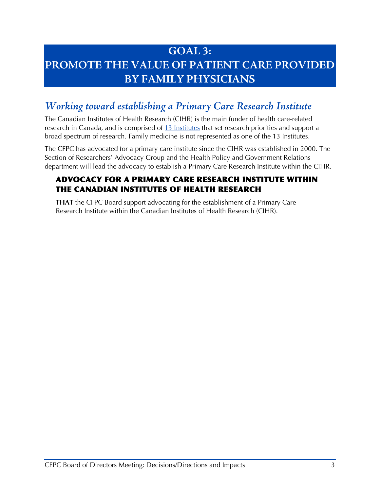## **GOAL 3: PROMOTE THE VALUE OF PATIENT CARE PROVIDED BY FAMILY PHYSICIANS**

## <span id="page-4-0"></span>*Working toward establishing a Primary Care Research Institute*

The Canadian Institutes of Health Research (CIHR) is the main funder of health care-related research in Canada, and is comprised of [13 Institutes](http://www.cihr-irsc.gc.ca/e/9466.html) that set research priorities and support a broad spectrum of research. Family medicine is not represented as one of the 13 Institutes.

The CFPC has advocated for a primary care institute since the CIHR was established in 2000. The Section of Researchers' Advocacy Group and the Health Policy and Government Relations department will lead the advocacy to establish a Primary Care Research Institute within the CIHR.

#### ADVOCACY FOR A PRIMARY CARE RESEARCH INSTITUTE WITHIN THE CANADIAN INSTITUTES OF HEALTH RESEARCH

**THAT** the CFPC Board support advocating for the establishment of a Primary Care Research Institute within the Canadian Institutes of Health Research (CIHR).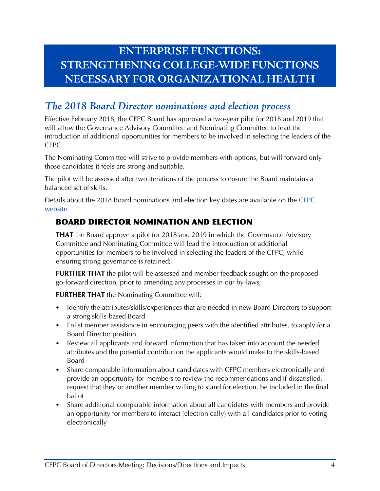## **ENTERPRISE FUNCTIONS: STRENGTHENING COLLEGE-WIDE FUNCTIONS NECESSARY FOR ORGANIZATIONAL HEALTH**

## <span id="page-5-0"></span>*The 2018 Board Director nominations and election process*

Effective February 2018, the CFPC Board has approved a two-year pilot for 2018 and 2019 that will allow the Governance Advisory Committee and Nominating Committee to lead the introduction of additional opportunities for members to be involved in selecting the leaders of the CFPC.

The Nominating Committee will strive to provide members with options, but will forward only those candidates it feels are strong and suitable.

The pilot will be assessed after two iterations of the process to ensure the Board maintains a balanced set of skills.

Details about the 2018 Board nominations and election key dates are available on the [CFPC](http://www.cfpc.ca/board-nominations/)  [website.](http://www.cfpc.ca/board-nominations/)

#### BOARD DIRECTOR NOMINATION AND ELECTION

**THAT** the Board approve a pilot for 2018 and 2019 in which the Governance Advisory Committee and Nominating Committee will lead the introduction of additional opportunities for members to be involved in selecting the leaders of the CFPC, while ensuring strong governance is retained;

**FURTHER THAT** the pilot will be assessed and member feedback sought on the proposed go-forward direction, prior to amending any processes in our by-laws;

**FURTHER THAT** the Nominating Committee will:

- Identify the attributes/skills/experiences that are needed in new Board Directors to support a strong skills-based Board
- Enlist member assistance in encouraging peers with the identified attributes, to apply for a Board Director position
- Review all applicants and forward information that has taken into account the needed attributes and the potential contribution the applicants would make to the skills-based Board
- Share comparable information about candidates with CFPC members electronically and provide an opportunity for members to review the recommendations and if dissatisfied, request that they or another member willing to stand for election, be included in the final ballot
- Share additional comparable information about all candidates with members and provide an opportunity for members to interact (electronically) with all candidates prior to voting electronically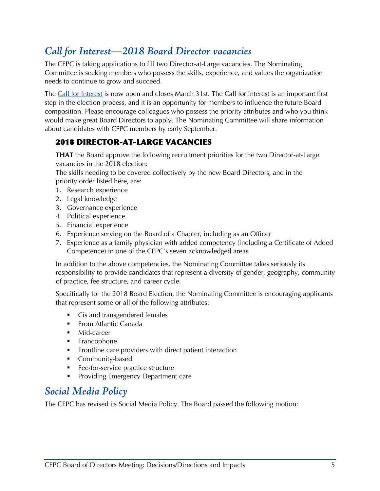## <span id="page-6-0"></span>*Call for Interest—2018 Board Director vacancies*

The CFPC is taking applications to fill two Director-at-Large vacancies. The Nominating Committee is seeking members who possess the skills, experience, and values the organization needs to continue to grow and succeed.

The [Call for Interest](http://www.cfpc.ca/call-for-interest/) is now open and closes March 31st. The Call for Interest is an important first step in the election process, and it is an opportunity for members to influence the future Board composition. Please encourage colleagues who possess the priority attributes and who you think would make great Board Directors to apply. The Nominating Committee will share information about candidates with CFPC members by early September.

#### 2018 DIRECTOR-AT-LARGE VACANCIES

**THAT** the Board approve the following recruitment priorities for the two Director-at-Large vacancies in the 2018 election:

The skills needing to be covered collectively by the new Board Directors, and in the priority order listed here, are:

- 1. Research experience
- 2. Legal knowledge
- 3. Governance experience
- 4. Political experience
- 5. Financial experience
- 6. Experience serving on the Board of a Chapter, including as an Officer
- 7. Experience as a family physician with added competency (including a Certificate of Added Competence) in one of the CFPC's seven acknowledged areas

In addition to the above competencies, the Nominating Committee takes seriously its responsibility to provide candidates that represent a diversity of gender, geography, community of practice, fee structure, and career cycle.

Specifically for the 2018 Board Election, the Nominating Committee is encouraging applicants that represent some or all of the following attributes:

- Cis and transgendered females
- **From Atlantic Canada**
- Mid-career
- **Francophone**
- Frontline care providers with direct patient interaction
- **Community-based**
- **Fee-for-service practice structure**
- **Providing Emergency Department care**

## <span id="page-6-1"></span>*Social Media Policy*

The CFPC has revised its Social Media Policy. The Board passed the following motion: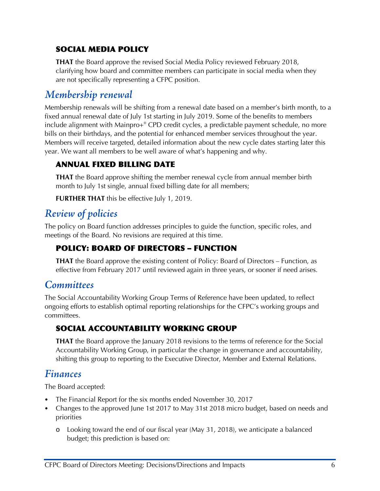#### SOCIAL MEDIA POLICY

**THAT** the Board approve the revised Social Media Policy reviewed February 2018, clarifying how board and committee members can participate in social media when they are not specifically representing a CFPC position.

#### <span id="page-7-0"></span>*Membership renewal*

Membership renewals will be shifting from a renewal date based on a member's birth month, to a fixed annual renewal date of July 1st starting in July 2019. Some of the benefits to members include alignment with Mainpro+® CPD credit cycles, a predictable payment schedule, no more bills on their birthdays, and the potential for enhanced member services throughout the year. Members will receive targeted, detailed information about the new cycle dates starting later this year. We want all members to be well aware of what's happening and why.

#### ANNUAL FIXED BILLING DATE

**THAT** the Board approve shifting the member renewal cycle from annual member birth month to July 1st single, annual fixed billing date for all members;

**FURTHER THAT** this be effective July 1, 2019.

## <span id="page-7-1"></span>*Review of policies*

The policy on Board function addresses principles to guide the function, specific roles, and meetings of the Board. No revisions are required at this time.

#### POLICY: BOARD OF DIRECTORS – FUNCTION

**THAT** the Board approve the existing content of Policy: Board of Directors – Function, as effective from February 2017 until reviewed again in three years, or sooner if need arises.

## <span id="page-7-2"></span>*Committees*

The Social Accountability Working Group Terms of Reference have been updated, to reflect ongoing efforts to establish optimal reporting relationships for the CFPC's working groups and committees.

#### SOCIAL ACCOUNTABILITY WORKING GROUP

**THAT** the Board approve the January 2018 revisions to the terms of reference for the Social Accountability Working Group, in particular the change in governance and accountability, shifting this group to reporting to the Executive Director, Member and External Relations.

#### <span id="page-7-3"></span>*Finances*

The Board accepted:

- The Financial Report for the six months ended November 30, 2017
- Changes to the approved June 1st 2017 to May 31st 2018 micro budget, based on needs and priorities
	- o Looking toward the end of our fiscal year (May 31, 2018), we anticipate a balanced budget; this prediction is based on: